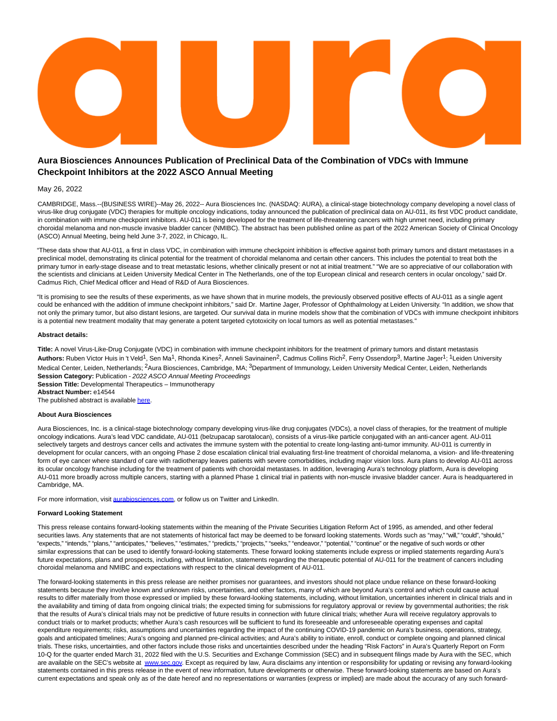# **Aura Biosciences Announces Publication of Preclinical Data of the Combination of VDCs with Immune Checkpoint Inhibitors at the 2022 ASCO Annual Meeting**

#### May 26, 2022

CAMBRIDGE, Mass.--(BUSINESS WIRE)--May 26, 2022-- Aura Biosciences Inc. (NASDAQ: AURA), a clinical-stage biotechnology company developing a novel class of virus-like drug conjugate (VDC) therapies for multiple oncology indications, today announced the publication of preclinical data on AU-011, its first VDC product candidate, in combination with immune checkpoint inhibitors. AU-011 is being developed for the treatment of life-threatening cancers with high unmet need, including primary choroidal melanoma and non-muscle invasive bladder cancer (NMIBC). The abstract has been published online as part of the 2022 American Society of Clinical Oncology (ASCO) Annual Meeting, being held June 3-7, 2022, in Chicago, IL.

"These data show that AU-011, a first in class VDC, in combination with immune checkpoint inhibition is effective against both primary tumors and distant metastases in a preclinical model, demonstrating its clinical potential for the treatment of choroidal melanoma and certain other cancers. This includes the potential to treat both the primary tumor in early-stage disease and to treat metastatic lesions, whether clinically present or not at initial treatment." "We are so appreciative of our collaboration with the scientists and clinicians at Leiden University Medical Center in The Netherlands, one of the top European clinical and research centers in ocular oncology," said Dr. Cadmus Rich, Chief Medical officer and Head of R&D of Aura Biosciences.

"It is promising to see the results of these experiments, as we have shown that in murine models, the previously observed positive effects of AU-011 as a single agent could be enhanced with the addition of immune checkpoint inhibitors," said Dr. Martine Jager, Professor of Ophthalmology at Leiden University. "In addition, we show that not only the primary tumor, but also distant lesions, are targeted. Our survival data in murine models show that the combination of VDCs with immune checkpoint inhibitors is a potential new treatment modality that may generate a potent targeted cytotoxicity on local tumors as well as potential metastases."

### **Abstract details:**

**Title:** A novel Virus-Like-Drug Conjugate (VDC) in combination with immune checkpoint inhibitors for the treatment of primary tumors and distant metastasis Authors: Ruben Victor Huis in 't Veld<sup>1</sup>, Sen Ma<sup>1</sup>, Rhonda Kines<sup>2</sup>, Anneli Savinainen<sup>2</sup>, Cadmus Collins Rich<sup>2</sup>, Ferry Ossendorp<sup>3</sup>, Martine Jager<sup>1</sup>; <sup>1</sup>Leiden University Medical Center, Leiden, Netherlands; <sup>2</sup>Aura Biosciences, Cambridge, MA; <sup>3</sup>Department of Immunology, Leiden University Medical Center, Leiden, Netherlands **Session Category: Publication - 2022 ASCO Annual Meeting Proceedings Session Title:** Developmental Therapeutics – Immunotherapy **Abstract Number:** e14544

The published abstract is availabl[e here.](https://cts.businesswire.com/ct/CT?id=smartlink&url=https%3A%2F%2Fmeetings.asco.org%2Fabstracts-presentations%2F212662&esheet=52732016&newsitemid=20220526005604&lan=en-US&anchor=here&index=1&md5=d48bb334a70a506efa7260b23a8443bf)

## **About Aura Biosciences**

Aura Biosciences, Inc. is a clinical-stage biotechnology company developing virus-like drug conjugates (VDCs), a novel class of therapies, for the treatment of multiple oncology indications. Aura's lead VDC candidate, AU-011 (belzupacap sarotalocan), consists of a virus-like particle conjugated with an anti-cancer agent. AU-011 selectively targets and destroys cancer cells and activates the immune system with the potential to create long-lasting anti-tumor immunity. AU-011 is currently in development for ocular cancers, with an ongoing Phase 2 dose escalation clinical trial evaluating first-line treatment of choroidal melanoma, a vision- and life-threatening form of eye cancer where standard of care with radiotherapy leaves patients with severe comorbidities, including major vision loss. Aura plans to develop AU-011 across its ocular oncology franchise including for the treatment of patients with choroidal metastases. In addition, leveraging Aura's technology platform, Aura is developing AU-011 more broadly across multiple cancers, starting with a planned Phase 1 clinical trial in patients with non-muscle invasive bladder cancer. Aura is headquartered in Cambridge, MA.

For more information, visit [aurabiosciences.com,](http://aurabiosciences.com/) or follow us on Twitter and LinkedIn.

#### **Forward Looking Statement**

This press release contains forward-looking statements within the meaning of the Private Securities Litigation Reform Act of 1995, as amended, and other federal securities laws. Any statements that are not statements of historical fact may be deemed to be forward looking statements. Words such as "may," "will," "could", "should," "expects," "intends," "plans," "anticipates," "believes," "estimates," "predicts," "projects," "seeks," "endeavor," "potential," "continue" or the negative of such words or other similar expressions that can be used to identify forward-looking statements. These forward looking statements include express or implied statements regarding Aura's future expectations, plans and prospects, including, without limitation, statements regarding the therapeutic potential of AU-011 for the treatment of cancers including choroidal melanoma and NMIBC and expectations with respect to the clinical development of AU-011.

The forward-looking statements in this press release are neither promises nor guarantees, and investors should not place undue reliance on these forward-looking statements because they involve known and unknown risks, uncertainties, and other factors, many of which are beyond Aura's control and which could cause actual results to differ materially from those expressed or implied by these forward-looking statements, including, without limitation, uncertainties inherent in clinical trials and in the availability and timing of data from ongoing clinical trials; the expected timing for submissions for regulatory approval or review by governmental authorities; the risk that the results of Aura's clinical trials may not be predictive of future results in connection with future clinical trials; whether Aura will receive regulatory approvals to conduct trials or to market products; whether Aura's cash resources will be sufficient to fund its foreseeable and unforeseeable operating expenses and capital expenditure requirements; risks, assumptions and uncertainties regarding the impact of the continuing COVID-19 pandemic on Aura's business, operations, strategy, goals and anticipated timelines; Aura's ongoing and planned pre-clinical activities; and Aura's ability to initiate, enroll, conduct or complete ongoing and planned clinical trials. These risks, uncertainties, and other factors include those risks and uncertainties described under the heading "Risk Factors" in Aura's Quarterly Report on Form 10-Q for the quarter ended March 31, 2022 filed with the U.S. Securities and Exchange Commission (SEC) and in subsequent filings made by Aura with the SEC, which are available on the SEC's website at [www.sec.gov.](https://cts.businesswire.com/ct/CT?id=smartlink&url=http%3A%2F%2Fwww.sec.gov&esheet=52732016&newsitemid=20220526005604&lan=en-US&anchor=www.sec.gov&index=2&md5=ba7b7dd54931aff87b7c096c097c9dfd) Except as required by law, Aura disclaims any intention or responsibility for updating or revising any forward-looking statements contained in this press release in the event of new information, future developments or otherwise. These forward-looking statements are based on Aura's current expectations and speak only as of the date hereof and no representations or warranties (express or implied) are made about the accuracy of any such forward